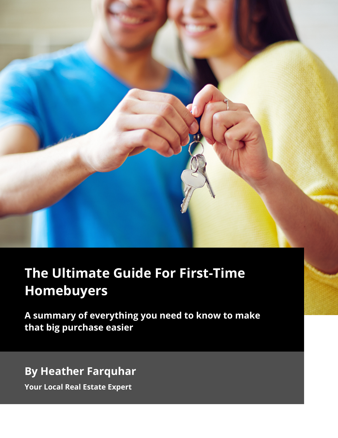

# **The Ultimate Guide For First-Time Homebuyers**

**A summary of everything you need to know to make that big purchase easier**

**By Heather Farquhar**

**Your Local Real Estate Expert**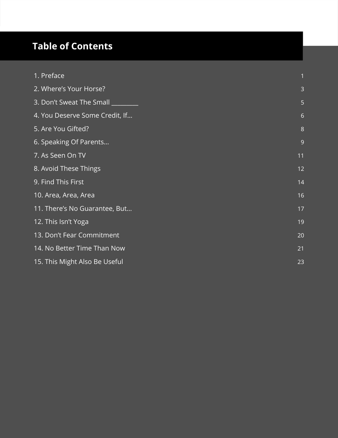# **Table of Contents**

| 1. Preface                     |                |
|--------------------------------|----------------|
| 2. Where's Your Horse?         | 3              |
| 3. Don't Sweat The Small       | 5              |
| 4. You Deserve Some Credit, If | 6              |
| 5. Are You Gifted?             | $8\phantom{1}$ |
| 6. Speaking Of Parents         | 9              |
| 7. As Seen On TV               | 11             |
| 8. Avoid These Things          | 12             |
| 9. Find This First             | 14             |
| 10. Area, Area, Area           | 16             |
| 11. There's No Guarantee, But  | 17             |
| 12. This Isn't Yoga            | 19             |
| 13. Don't Fear Commitment      | 20             |
| 14. No Better Time Than Now    | 21             |
| 15. This Might Also Be Useful  | 23             |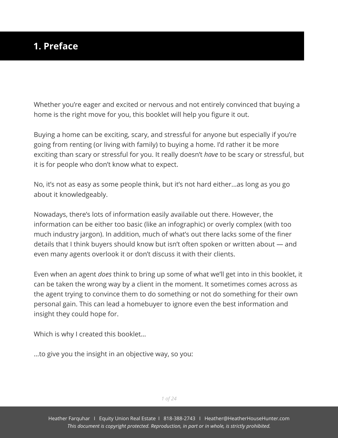#### <span id="page-2-0"></span>**1. Preface**

Whether you're eager and excited or nervous and not entirely convinced that buying a home is the right move for you, this booklet will help you figure it out.

Buying a home can be exciting, scary, and stressful for anyone but especially if you're going from renting (or living with family) to buying a home. I'd rather it be more exciting than scary or stressful for you. It really doesn't *have* to be scary or stressful, but it is for people who don't know what to expect.

No, it's not as easy as some people think, but it's not hard either...as long as you go about it knowledgeably.

Nowadays, there's lots of information easily available out there. However, the information can be either too basic (like an infographic) or overly complex (with too much industry jargon). In addition, much of what's out there lacks some of the finer details that I think buyers should know but isn't often spoken or written about — and even many agents overlook it or don't discuss it with their clients.

Even when an agent *does* think to bring up some of what we'll get into in this booklet, it can be taken the wrong way by a client in the moment. It sometimes comes across as the agent trying to convince them to do something or not do something for their own personal gain. This can lead a homebuyer to ignore even the best information and insight they could hope for.

Which is why I created this booklet…

...to give you the insight in an objective way, so you: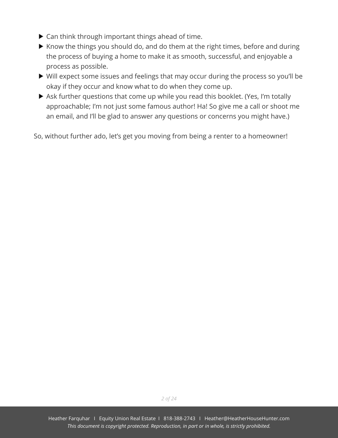- ▶ Can think through important things ahead of time.
- $\blacktriangleright$  Know the things you should do, and do them at the right times, before and during the process of buying a home to make it as smooth, successful, and enjoyable a process as possible.
- Will expect some issues and feelings that may occur during the process so you'll be okay if they occur and know what to do when they come up.
- Ask further questions that come up while you read this booklet. (Yes, I'm totally approachable; I'm not just some famous author! Ha! So give me a call or shoot me an email, and I'll be glad to answer any questions or concerns you might have.)

So, without further ado, let's get you moving from being a renter to a homeowner!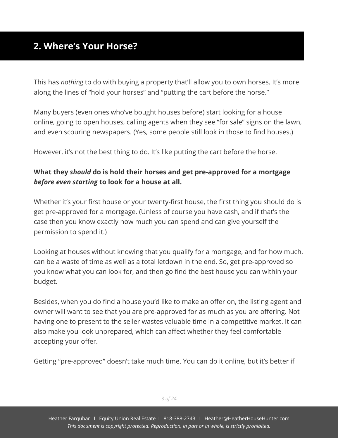### <span id="page-4-0"></span>**2. Where's Your Horse?**

This has *nothing* to do with buying a property that'll allow you to own horses. It's more along the lines of "hold your horses" and "putting the cart before the horse."

Many buyers (even ones who've bought houses before) start looking for a house online, going to open houses, calling agents when they see "for sale" signs on the lawn, and even scouring newspapers. (Yes, some people still look in those to find houses.)

However, it's not the best thing to do. It's like putting the cart before the horse.

#### **What they** *should* **do is hold their horses and get pre-approved for a mortgage** *before even starting* **to look for a house at all.**

Whether it's your first house or your twenty-first house, the first thing you should do is get pre-approved for a mortgage. (Unless of course you have cash, and if that's the case then you know exactly how much you can spend and can give yourself the permission to spend it.)

Looking at houses without knowing that you qualify for a mortgage, and for how much, can be a waste of time as well as a total letdown in the end. So, get pre-approved so you know what you can look for, and then go find the best house you can within your budget.

Besides, when you do find a house you'd like to make an offer on, the listing agent and owner will want to see that you are pre-approved for as much as you are offering. Not having one to present to the seller wastes valuable time in a competitive market. It can also make you look unprepared, which can affect whether they feel comfortable accepting your offer.

Getting "pre-approved" doesn't take much time. You can do it online, but it's better if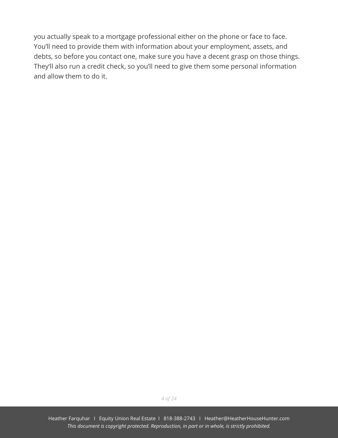you actually speak to a mortgage professional either on the phone or face to face. You'll need to provide them with information about your employment, assets, and debts, so before you contact one, make sure you have a decent grasp on those things. They'll also run a credit check, so you'll need to give them some personal information and allow them to do it.

*4 of 24*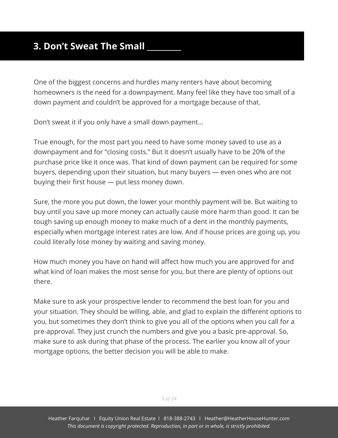#### <span id="page-6-0"></span>**3. Don't Sweat The Small**

One of the biggest concerns and hurdles many renters have about becoming homeowners is the need for a downpayment. Many feel like they have too small of a down payment and couldn't be approved for a mortgage because of that.

Don't sweat it if you only have a small down payment...

True enough, for the most part you need to have some money saved to use as a downpayment and for "closing costs." But it doesn't usually have to be 20% of the purchase price like it once was. That kind of down payment can be required for some buyers, depending upon their situation, but many buyers — even ones who are not buying their first house — put less money down.

Sure, the more you put down, the lower your monthly payment will be. But waiting to buy until you save up more money can actually cause more harm than good. It can be tough saving up enough money to make much of a dent in the monthly payments, especially when mortgage interest rates are low. And if house prices are going up, you could literally lose money by waiting and saving money.

How much money you have on hand will affect how much you are approved for and what kind of loan makes the most sense for you, but there are plenty of options out there.

Make sure to ask your prospective lender to recommend the best loan for you and your situation. They should be willing, able, and glad to explain the different options to you, but sometimes they don't think to give you all of the options when you call for a pre-approval. They just crunch the numbers and give you a basic pre-approval. So, make sure to ask during that phase of the process. The earlier you know all of your mortgage options, the better decision you will be able to make.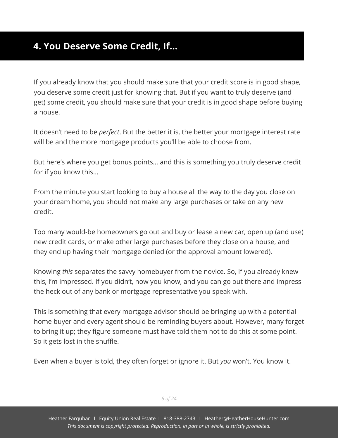# <span id="page-7-0"></span>**4. You Deserve Some Credit, If…**

If you already know that you should make sure that your credit score is in good shape, you deserve some credit just for knowing that. But if you want to truly deserve (and get) some credit, you should make sure that your credit is in good shape before buying a house.

It doesn't need to be *perfect*. But the better it is, the better your mortgage interest rate will be and the more mortgage products you'll be able to choose from.

But here's where you get bonus points… and this is something you truly deserve credit for if you know this...

From the minute you start looking to buy a house all the way to the day you close on your dream home, you should not make any large purchases or take on any new credit.

Too many would-be homeowners go out and buy or lease a new car, open up (and use) new credit cards, or make other large purchases before they close on a house, and they end up having their mortgage denied (or the approval amount lowered).

Knowing *this* separates the savvy homebuyer from the novice. So, if you already knew this, I'm impressed. If you didn't, now you know, and you can go out there and impress the heck out of any bank or mortgage representative you speak with.

This is something that every mortgage advisor should be bringing up with a potential home buyer and every agent should be reminding buyers about. However, many forget to bring it up; they figure someone must have told them not to do this at some point. So it gets lost in the shuffle.

Even when a buyer is told, they often forget or ignore it. But *you* won't. You know it.

*6 of 24*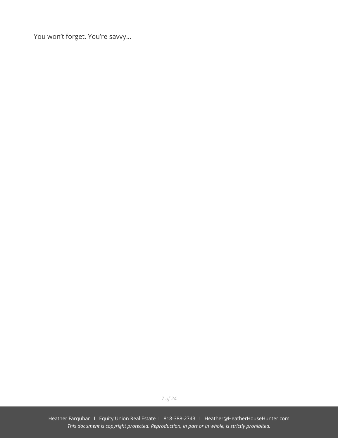You won't forget. You're savvy…

*7 of 24*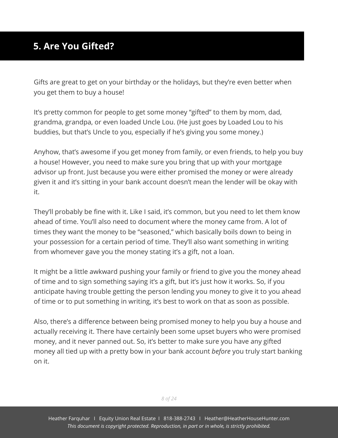# <span id="page-9-0"></span>**5. Are You Gifted?**

Gifts are great to get on your birthday or the holidays, but they're even better when you get them to buy a house!

It's pretty common for people to get some money "gifted" to them by mom, dad, grandma, grandpa, or even loaded Uncle Lou. (He just goes by Loaded Lou to his buddies, but that's Uncle to you, especially if he's giving you some money.)

Anyhow, that's awesome if you get money from family, or even friends, to help you buy a house! However, you need to make sure you bring that up with your mortgage advisor up front. Just because you were either promised the money or were already given it and it's sitting in your bank account doesn't mean the lender will be okay with it.

They'll probably be fine with it. Like I said, it's common, but you need to let them know ahead of time. You'll also need to document where the money came from. A lot of times they want the money to be "seasoned," which basically boils down to being in your possession for a certain period of time. They'll also want something in writing from whomever gave you the money stating it's a gift, not a loan.

It might be a little awkward pushing your family or friend to give you the money ahead of time and to sign something saying it's a gift, but it's just how it works. So, if you anticipate having trouble getting the person lending you money to give it to you ahead of time or to put something in writing, it's best to work on that as soon as possible.

Also, there's a difference between being promised money to help you buy a house and actually receiving it. There have certainly been some upset buyers who were promised money, and it never panned out. So, it's better to make sure you have any gifted money all tied up with a pretty bow in your bank account *before* you truly start banking on it.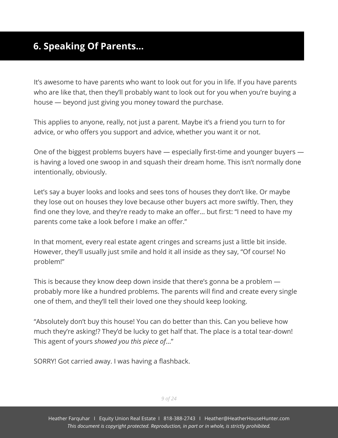# <span id="page-10-0"></span>**6. Speaking Of Parents…**

It's awesome to have parents who want to look out for you in life. If you have parents who are like that, then they'll probably want to look out for you when you're buying a house — beyond just giving you money toward the purchase.

This applies to anyone, really, not just a parent. Maybe it's a friend you turn to for advice, or who offers you support and advice, whether you want it or not.

One of the biggest problems buyers have — especially first-time and younger buyers is having a loved one swoop in and squash their dream home. This isn't normally done intentionally, obviously.

Let's say a buyer looks and looks and sees tons of houses they don't like. Or maybe they lose out on houses they love because other buyers act more swiftly. Then, they find one they love, and they're ready to make an offer… but first: "I need to have my parents come take a look before I make an offer."

In that moment, every real estate agent cringes and screams just a little bit inside. However, they'll usually just smile and hold it all inside as they say, "Of course! No problem!"

This is because they know deep down inside that there's gonna be a problem probably more like a hundred problems. The parents will find and create every single one of them, and they'll tell their loved one they should keep looking.

"Absolutely don't buy this house! You can do better than this. Can you believe how much they're asking!? They'd be lucky to get half that. The place is a total tear-down! This agent of yours *showed you this piece of*…"

SORRY! Got carried away. I was having a flashback.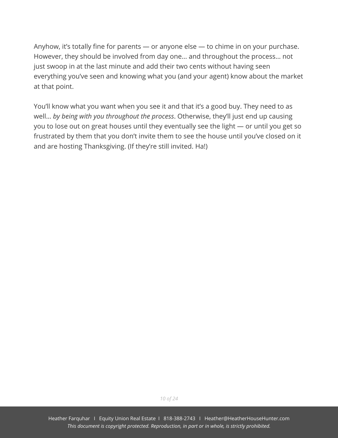Anyhow, it's totally fine for parents — or anyone else — to chime in on your purchase. However, they should be involved from day one... and throughout the process… not just swoop in at the last minute and add their two cents without having seen everything you've seen and knowing what you (and your agent) know about the market at that point.

You'll know what you want when you see it and that it's a good buy. They need to as well… *by being with you throughout the process*. Otherwise, they'll just end up causing you to lose out on great houses until they eventually see the light — or until you get so frustrated by them that you don't invite them to see the house until you've closed on it and are hosting Thanksgiving. (If they're still invited. Ha!)

*10 of 24*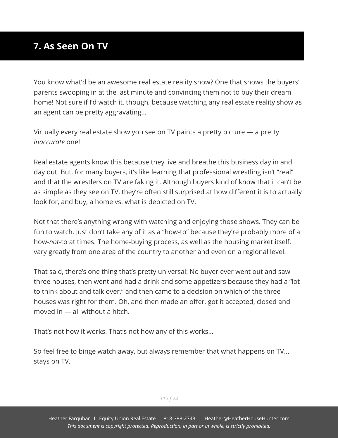# <span id="page-12-0"></span>**7. As Seen On TV**

You know what'd be an awesome real estate reality show? One that shows the buyers' parents swooping in at the last minute and convincing them not to buy their dream home! Not sure if I'd watch it, though, because watching any real estate reality show as an agent can be pretty aggravating…

Virtually every real estate show you see on TV paints a pretty picture — a pretty *inaccurate* one!

Real estate agents know this because they live and breathe this business day in and day out. But, for many buyers, it's like learning that professional wrestling isn't "real" and that the wrestlers on TV are faking it. Although buyers kind of know that it can't be as simple as they see on TV, they're often still surprised at how different it is to actually look for, and buy, a home vs. what is depicted on TV.

Not that there's anything wrong with watching and enjoying those shows. They can be fun to watch. Just don't take any of it as a "how-to" because they're probably more of a how-*not*-to at times. The home-buying process, as well as the housing market itself, vary greatly from one area of the country to another and even on a regional level.

That said, there's one thing that's pretty universal: No buyer ever went out and saw three houses, then went and had a drink and some appetizers because they had a "lot to think about and talk over," and then came to a decision on which of the three houses was right for them. Oh, and then made an offer, got it accepted, closed and moved in — all without a hitch.

That's not how it works. That's not how any of this works...

So feel free to binge watch away, but always remember that what happens on TV... stays on TV.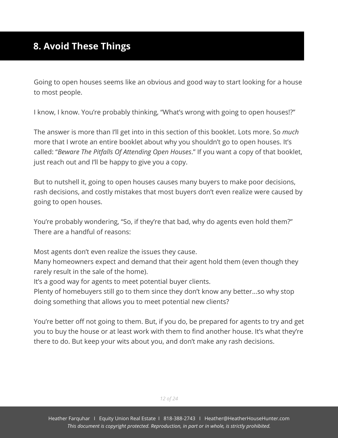# <span id="page-13-0"></span>**8. Avoid These Things**

Going to open houses seems like an obvious and good way to start looking for a house to most people.

I know, I know. You're probably thinking, "What's wrong with going to open houses!?"

The answer is more than I'll get into in this section of this booklet. Lots more. So *much* more that I wrote an entire booklet about why you shouldn't go to open houses. It's called: "*Beware The Pitfalls Of Attending Open Houses*." If you want a copy of that booklet, just reach out and I'll be happy to give you a copy.

But to nutshell it, going to open houses causes many buyers to make poor decisions, rash decisions, and costly mistakes that most buyers don't even realize were caused by going to open houses.

You're probably wondering, "So, if they're that bad, why do agents even hold them?" There are a handful of reasons:

Most agents don't even realize the issues they cause.

Many homeowners expect and demand that their agent hold them (even though they rarely result in the sale of the home).

It's a good way for agents to meet potential buyer clients.

Plenty of homebuyers still go to them since they don't know any better...so why stop doing something that allows you to meet potential new clients?

You're better off not going to them. But, if you do, be prepared for agents to try and get you to buy the house or at least work with them to find another house. It's what they're there to do. But keep your wits about you, and don't make any rash decisions.

*12 of 24*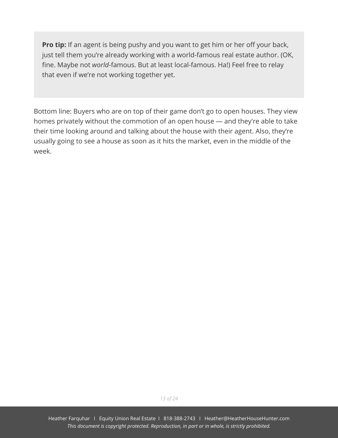**Pro tip:** If an agent is being pushy and you want to get him or her off your back, just tell them you're already working with a world-famous real estate author. (OK, fine. Maybe not *world*-famous. But at least local-famous. Ha!) Feel free to relay that even if we're not working together yet.

Bottom line: Buyers who are on top of their game don't go to open houses. They view homes privately without the commotion of an open house — and they're able to take their time looking around and talking about the house with their agent. Also, they're usually going to see a house as soon as it hits the market, even in the middle of the week.

*13 of 24*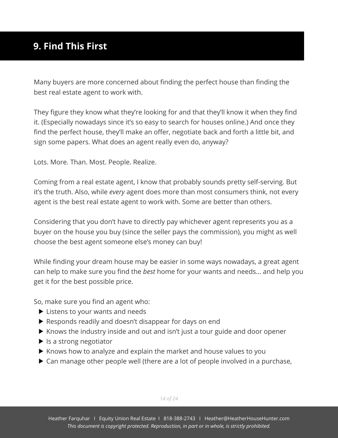# <span id="page-15-0"></span>**9. Find This First**

Many buyers are more concerned about finding the perfect house than finding the best real estate agent to work with.

They figure they know what they're looking for and that they'll know it when they find it. (Especially nowadays since it's so easy to search for houses online.) And once they find the perfect house, they'll make an offer, negotiate back and forth a little bit, and sign some papers. What does an agent really even do, anyway?

Lots. More. Than. Most. People. Realize.

Coming from a real estate agent, I know that probably sounds pretty self-serving. But it's the truth. Also, while *every* agent does more than most consumers think, not every agent is the best real estate agent to work with. Some are better than others.

Considering that you don't have to directly pay whichever agent represents you as a buyer on the house you buy (since the seller pays the commission), you might as well choose the best agent someone else's money can buy!

While finding your dream house may be easier in some ways nowadays, a great agent can help to make sure you find the *best* home for your wants and needs... and help you get it for the best possible price.

So, make sure you find an agent who:

- **Listens to your wants and needs**
- Responds readily and doesn't disappear for days on end
- $\blacktriangleright$  Knows the industry inside and out and isn't just a tour guide and door opener
- $\blacktriangleright$  Is a strong negotiator
- $\blacktriangleright$  Knows how to analyze and explain the market and house values to you
- ▶ Can manage other people well (there are a lot of people involved in a purchase,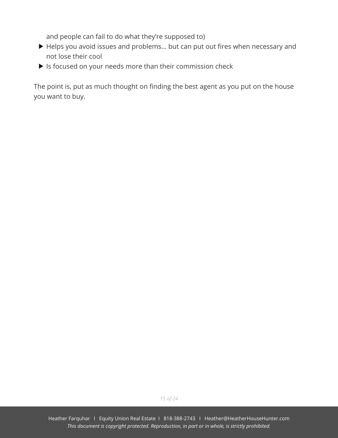and people can fail to do what they're supposed to)

- Helps you avoid issues and problems... but can put out fires when necessary and not lose their cool
- If Is focused on your needs more than their commission check

The point is, put as much thought on finding the best agent as you put on the house you want to buy.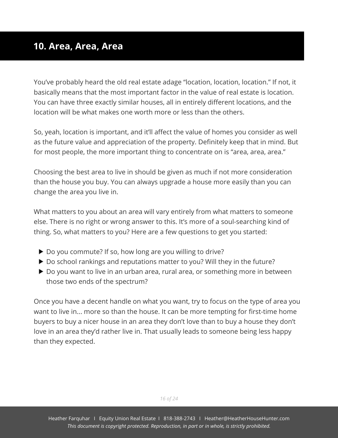#### <span id="page-17-0"></span>**10. Area, Area, Area**

You've probably heard the old real estate adage "location, location, location." If not, it basically means that the most important factor in the value of real estate is location. You can have three exactly similar houses, all in entirely different locations, and the location will be what makes one worth more or less than the others.

So, yeah, location is important, and it'll affect the value of homes you consider as well as the future value and appreciation of the property. Definitely keep that in mind. But for most people, the more important thing to concentrate on is "area, area, area."

Choosing the best area to live in should be given as much if not more consideration than the house you buy. You can always upgrade a house more easily than you can change the area you live in.

What matters to you about an area will vary entirely from what matters to someone else. There is no right or wrong answer to this. It's more of a soul-searching kind of thing. So, what matters to you? Here are a few questions to get you started:

- ▶ Do you commute? If so, how long are you willing to drive?
- ▶ Do school rankings and reputations matter to you? Will they in the future?
- ▶ Do you want to live in an urban area, rural area, or something more in between those two ends of the spectrum?

Once you have a decent handle on what you want, try to focus on the type of area you want to live in... more so than the house. It can be more tempting for first-time home buyers to buy a nicer house in an area they don't love than to buy a house they don't love in an area they'd rather live in. That usually leads to someone being less happy than they expected.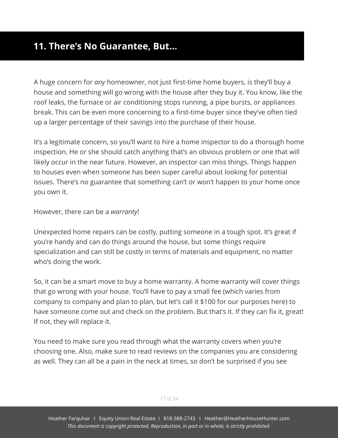#### <span id="page-18-0"></span>**11. There's No Guarantee, But…**

A huge concern for *any* homeowner, not just first-time home buyers, is they'll buy a house and something will go wrong with the house after they buy it. You know, like the roof leaks, the furnace or air conditioning stops running, a pipe bursts, or appliances break. This can be even more concerning to a first-time buyer since they've often tied up a larger percentage of their savings into the purchase of their house.

It's a legitimate concern, so you'll want to hire a home inspector to do a thorough home inspection. He or she should catch anything that's an obvious problem or one that will likely occur in the near future. However, an inspector can miss things. Things happen to houses even when someone has been super careful about looking for potential issues. There's no guarantee that something can't or won't happen to your home once you own it.

However, there can be a *warranty*!

Unexpected home repairs can be costly, putting someone in a tough spot. It's great if you're handy and can do things around the house, but some things require specialization and can still be costly in terms of materials and equipment, no matter who's doing the work.

So, it can be a smart move to buy a home warranty. A home warranty will cover things that go wrong with your house. You'll have to pay a small fee (which varies from company to company and plan to plan, but let's call it \$100 for our purposes here) to have someone come out and check on the problem. But that's it. If they can fix it, great! If not, they will replace it.

You need to make sure you read through what the warranty covers when you're choosing one. Also, make sure to read reviews on the companies you are considering as well. They can all be a pain in the neck at times, so don't be surprised if you see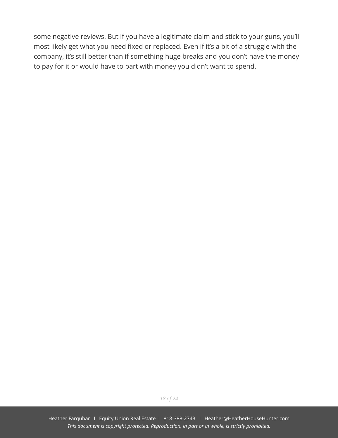some negative reviews. But if you have a legitimate claim and stick to your guns, you'll most likely get what you need fixed or replaced. Even if it's a bit of a struggle with the company, it's still better than if something huge breaks and you don't have the money to pay for it or would have to part with money you didn't want to spend.

*18 of 24*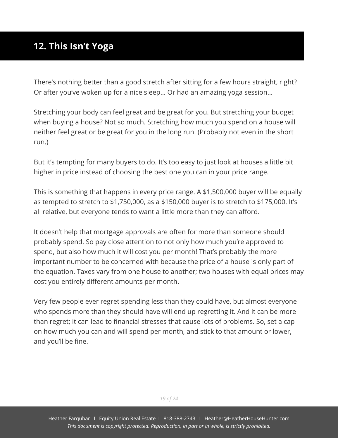# <span id="page-20-0"></span>**12. This Isn't Yoga**

There's nothing better than a good stretch after sitting for a few hours straight, right? Or after you've woken up for a nice sleep… Or had an amazing yoga session…

Stretching your body can feel great and be great for you. But stretching your budget when buying a house? Not so much. Stretching how much you spend on a house will neither feel great or be great for you in the long run. (Probably not even in the short run.)

But it's tempting for many buyers to do. It's too easy to just look at houses a little bit higher in price instead of choosing the best one you can in your price range.

This is something that happens in every price range. A \$1,500,000 buyer will be equally as tempted to stretch to \$1,750,000, as a \$150,000 buyer is to stretch to \$175,000. It's all relative, but everyone tends to want a little more than they can afford.

It doesn't help that mortgage approvals are often for more than someone should probably spend. So pay close attention to not only how much you're approved to spend, but also how much it will cost you per month! That's probably the more important number to be concerned with because the price of a house is only part of the equation. Taxes vary from one house to another; two houses with equal prices may cost you entirely different amounts per month.

Very few people ever regret spending less than they could have, but almost everyone who spends more than they should have will end up regretting it. And it can be more than regret; it can lead to financial stresses that cause lots of problems. So, set a cap on how much you can and will spend per month, and stick to that amount or lower, and you'll be fine.

*19 of 24*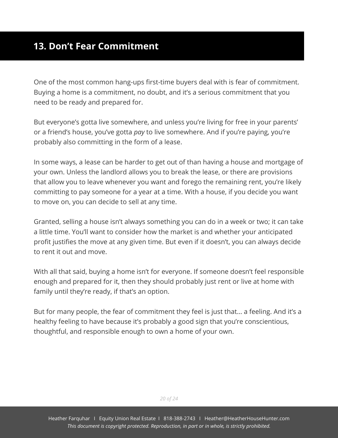<span id="page-21-0"></span>One of the most common hang-ups first-time buyers deal with is fear of commitment. Buying a home is a commitment, no doubt, and it's a serious commitment that you need to be ready and prepared for.

But everyone's gotta live somewhere, and unless you're living for free in your parents' or a friend's house, you've gotta *pay* to live somewhere. And if you're paying, you're probably also committing in the form of a lease.

In some ways, a lease can be harder to get out of than having a house and mortgage of your own. Unless the landlord allows you to break the lease, or there are provisions that allow you to leave whenever you want and forego the remaining rent, you're likely committing to pay someone for a year at a time. With a house, if you decide you want to move on, you can decide to sell at any time.

Granted, selling a house isn't always something you can do in a week or two; it can take a little time. You'll want to consider how the market is and whether your anticipated profit justifies the move at any given time. But even if it doesn't, you can always decide to rent it out and move.

With all that said, buying a home isn't for everyone. If someone doesn't feel responsible enough and prepared for it, then they should probably just rent or live at home with family until they're ready, if that's an option.

But for many people, the fear of commitment they feel is just that… a feeling. And it's a healthy feeling to have because it's probably a good sign that you're conscientious, thoughtful, and responsible enough to own a home of your own.

*20 of 24*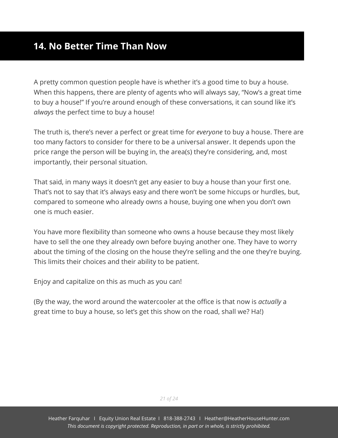#### <span id="page-22-0"></span>**14. No Better Time Than Now**

A pretty common question people have is whether it's a good time to buy a house. When this happens, there are plenty of agents who will always say, "Now's a great time to buy a house!" If you're around enough of these conversations, it can sound like it's *always* the perfect time to buy a house!

The truth is, there's never a perfect or great time for *everyone* to buy a house. There are too many factors to consider for there to be a universal answer. It depends upon the price range the person will be buying in, the area(s) they're considering, and, most importantly, their personal situation.

That said, in many ways it doesn't get any easier to buy a house than your first one. That's not to say that it's always easy and there won't be some hiccups or hurdles, but, compared to someone who already owns a house, buying one when you don't own one is much easier.

You have more flexibility than someone who owns a house because they most likely have to sell the one they already own before buying another one. They have to worry about the timing of the closing on the house they're selling and the one they're buying. This limits their choices and their ability to be patient.

Enjoy and capitalize on this as much as you can!

(By the way, the word around the watercooler at the office is that now is *actually* a great time to buy a house, so let's get this show on the road, shall we? Ha!)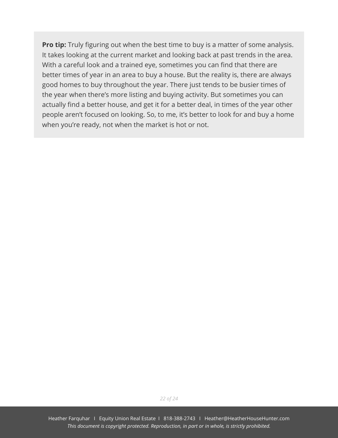**Pro tip:** Truly figuring out when the best time to buy is a matter of some analysis. It takes looking at the current market and looking back at past trends in the area. With a careful look and a trained eye, sometimes you can find that there are better times of year in an area to buy a house. But the reality is, there are always good homes to buy throughout the year. There just tends to be busier times of the year when there's more listing and buying activity. But sometimes you can actually find a better house, and get it for a better deal, in times of the year other people aren't focused on looking. So, to me, it's better to look for and buy a home when you're ready, not when the market is hot or not.

*22 of 24*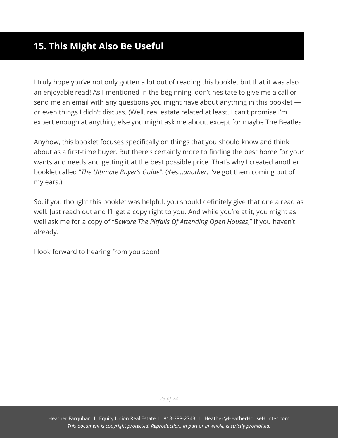### <span id="page-24-0"></span>**15. This Might Also Be Useful**

I truly hope you've not only gotten a lot out of reading this booklet but that it was also an enjoyable read! As I mentioned in the beginning, don't hesitate to give me a call or send me an email with any questions you might have about anything in this booklet or even things I didn't discuss. (Well, real estate related at least. I can't promise I'm expert enough at anything else you might ask me about, except for maybe The Beatles

Anyhow, this booklet focuses specifically on things that you should know and think about as a first-time buyer. But there's certainly more to finding the best home for your wants and needs and getting it at the best possible price. That's why I created another booklet called "*The Ultimate Buyer's Guide*". (Yes...*another*. I've got them coming out of my ears.)

So, if you thought this booklet was helpful, you should definitely give that one a read as well. Just reach out and I'll get a copy right to you. And while you're at it, you might as well ask me for a copy of "*Beware The Pitfalls Of Attending Open Houses*," if you haven't already.

I look forward to hearing from you soon!